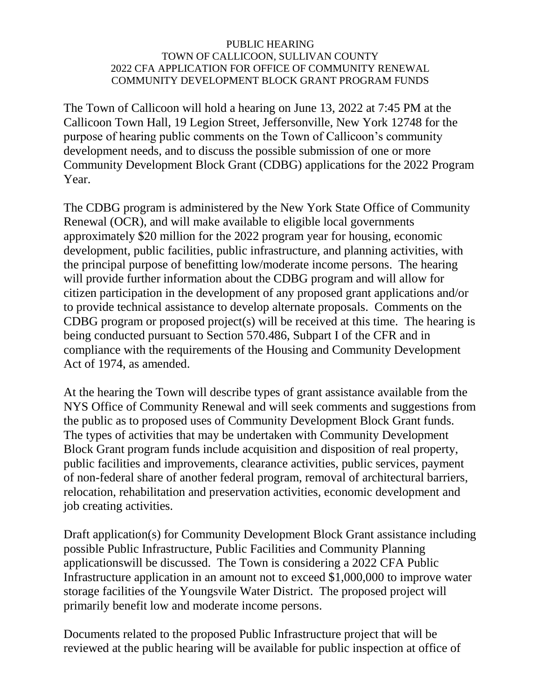## PUBLIC HEARING TOWN OF CALLICOON, SULLIVAN COUNTY 2022 CFA APPLICATION FOR OFFICE OF COMMUNITY RENEWAL COMMUNITY DEVELOPMENT BLOCK GRANT PROGRAM FUNDS

The Town of Callicoon will hold a hearing on June 13, 2022 at 7:45 PM at the Callicoon Town Hall, 19 Legion Street, Jeffersonville, New York 12748 for the purpose of hearing public comments on the Town of Callicoon's community development needs, and to discuss the possible submission of one or more Community Development Block Grant (CDBG) applications for the 2022 Program Year.

The CDBG program is administered by the New York State Office of Community Renewal (OCR), and will make available to eligible local governments approximately \$20 million for the 2022 program year for housing, economic development, public facilities, public infrastructure, and planning activities, with the principal purpose of benefitting low/moderate income persons. The hearing will provide further information about the CDBG program and will allow for citizen participation in the development of any proposed grant applications and/or to provide technical assistance to develop alternate proposals. Comments on the CDBG program or proposed project(s) will be received at this time. The hearing is being conducted pursuant to Section 570.486, Subpart I of the CFR and in compliance with the requirements of the Housing and Community Development Act of 1974, as amended.

At the hearing the Town will describe types of grant assistance available from the NYS Office of Community Renewal and will seek comments and suggestions from the public as to proposed uses of Community Development Block Grant funds. The types of activities that may be undertaken with Community Development Block Grant program funds include acquisition and disposition of real property, public facilities and improvements, clearance activities, public services, payment of non-federal share of another federal program, removal of architectural barriers, relocation, rehabilitation and preservation activities, economic development and job creating activities.

Draft application(s) for Community Development Block Grant assistance including possible Public Infrastructure, Public Facilities and Community Planning applicationswill be discussed. The Town is considering a 2022 CFA Public Infrastructure application in an amount not to exceed \$1,000,000 to improve water storage facilities of the Youngsvile Water District. The proposed project will primarily benefit low and moderate income persons.

Documents related to the proposed Public Infrastructure project that will be reviewed at the public hearing will be available for public inspection at office of